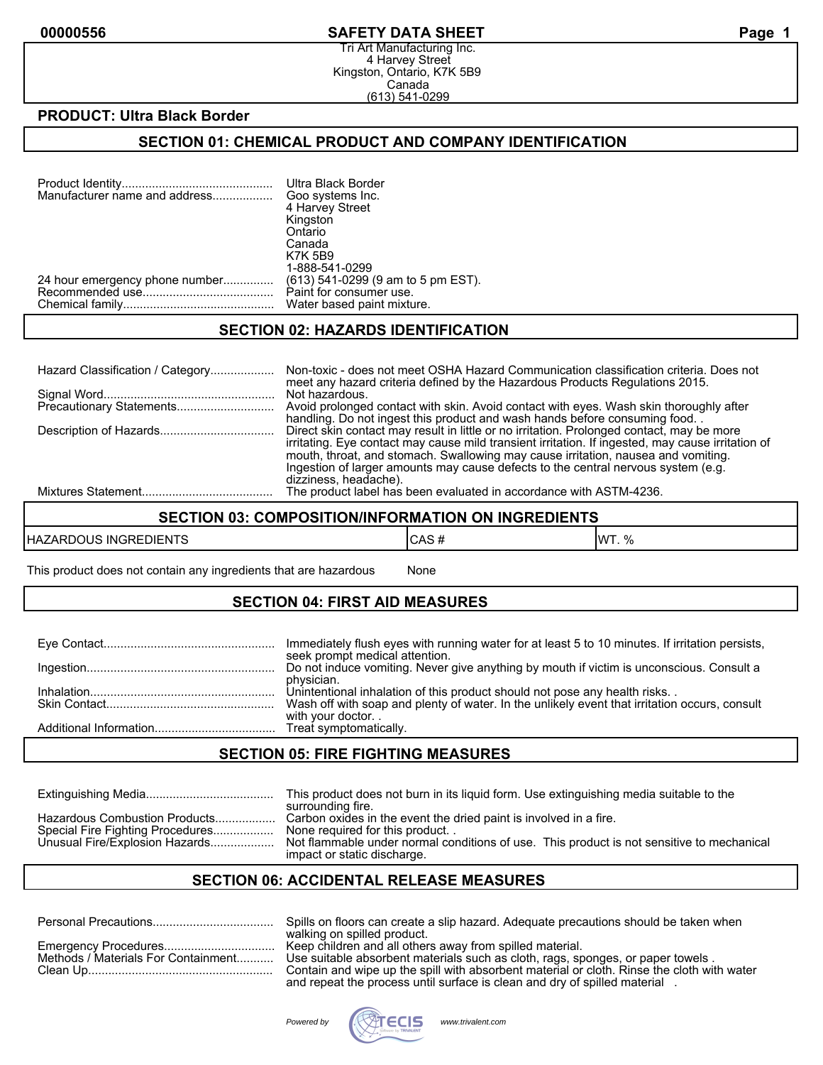#### **00000556 SAFETY DATA SHEET Page 1**

Tri Art Manufacturing Inc. 4 Harvey Street Kingston, Ontario, K7K 5B9 Canada (613) 541-0299

#### **PRODUCT: Ultra Black Border**

#### **SECTION 01: CHEMICAL PRODUCT AND COMPANY IDENTIFICATION**

| Manufacturer name and address  | Ultra Black Border<br>Goo systems Inc.<br>4 Harvey Street<br>Kingston<br>Ontario<br>Canada<br><b>K7K 5B9</b><br>1-888-541-0299 |
|--------------------------------|--------------------------------------------------------------------------------------------------------------------------------|
| 24 hour emergency phone number | (613) 541-0299 (9 am to 5 pm EST).                                                                                             |
|                                | Paint for consumer use.                                                                                                        |
|                                | Water based paint mixture.                                                                                                     |

#### **SECTION 02: HAZARDS IDENTIFICATION**

| Hazard Classification / Category | Non-toxic - does not meet OSHA Hazard Communication classification criteria. Does not<br>meet any hazard criteria defined by the Hazardous Products Regulations 2015. |
|----------------------------------|-----------------------------------------------------------------------------------------------------------------------------------------------------------------------|
|                                  | Not hazardous.                                                                                                                                                        |
|                                  | Avoid prolonged contact with skin. Avoid contact with eyes. Wash skin thoroughly after                                                                                |
|                                  | handling. Do not ingest this product and wash hands before consuming food                                                                                             |
|                                  | Direct skin contact may result in little or no irritation. Prolonged contact, may be more                                                                             |
|                                  | irritating. Eye contact may cause mild transient irritation. If ingested, may cause irritation of                                                                     |
|                                  | mouth, throat, and stomach. Swallowing may cause irritation, nausea and vomiting.                                                                                     |
|                                  | Ingestion of larger amounts may cause defects to the central nervous system (e.g.                                                                                     |
|                                  | dizziness, headache).                                                                                                                                                 |
|                                  | The product label has been evaluated in accordance with ASTM-4236.                                                                                                    |

# **SECTION 03: COMPOSITION/INFORMATION ON INGREDIENTS**

| $-$<br>HAZA<br>. INGRE'<br>DIENTS<br>ા પ્રષ્ટ | unu<br>____ | ۱۱۸/٦<br>0/<br>70 |
|-----------------------------------------------|-------------|-------------------|

This product does not contain any ingredients that are hazardous None

### **SECTION 04: FIRST AID MEASURES**

| Immediately flush eyes with running water for at least 5 to 10 minutes. If irritation persists,<br>seek prompt medical attention.                                                        |
|------------------------------------------------------------------------------------------------------------------------------------------------------------------------------------------|
| Do not induce vomiting. Never give anything by mouth if victim is unconscious. Consult a                                                                                                 |
| physician.<br>Unintentional inhalation of this product should not pose any health risks<br>Wash off with soap and plenty of water. In the unlikely event that irritation occurs, consult |
| with your doctor                                                                                                                                                                         |

#### **SECTION 05: FIRE FIGHTING MEASURES**

|                                  | This product does not burn in its liquid form. Use extinguishing media suitable to the<br>surrounding fire. |
|----------------------------------|-------------------------------------------------------------------------------------------------------------|
| Hazardous Combustion Products    | Carbon oxides in the event the dried paint is involved in a fire.                                           |
| Special Fire Fighting Procedures | None required for this product                                                                              |
| Unusual Fire/Explosion Hazards   | Not flammable under normal conditions of use. This product is not sensitive to mechanical                   |
|                                  | impact or static discharge.                                                                                 |

#### **SECTION 06: ACCIDENTAL RELEASE MEASURES**

|  |  |  | Emergency Procedures<br>Methods / Materials For Containment |
|--|--|--|-------------------------------------------------------------|

Personal Precautions.................................... Spills on floors can create a slip hazard. Adequate precautions should be taken when walking on spilled product. Keep children and all others away from spilled material. Use suitable absorbent materials such as cloth, rags, sponges, or paper towels . Contain and wipe up the spill with absorbent material or cloth. Rinse the cloth with water and repeat the process until surface is clean and dry of spilled material .

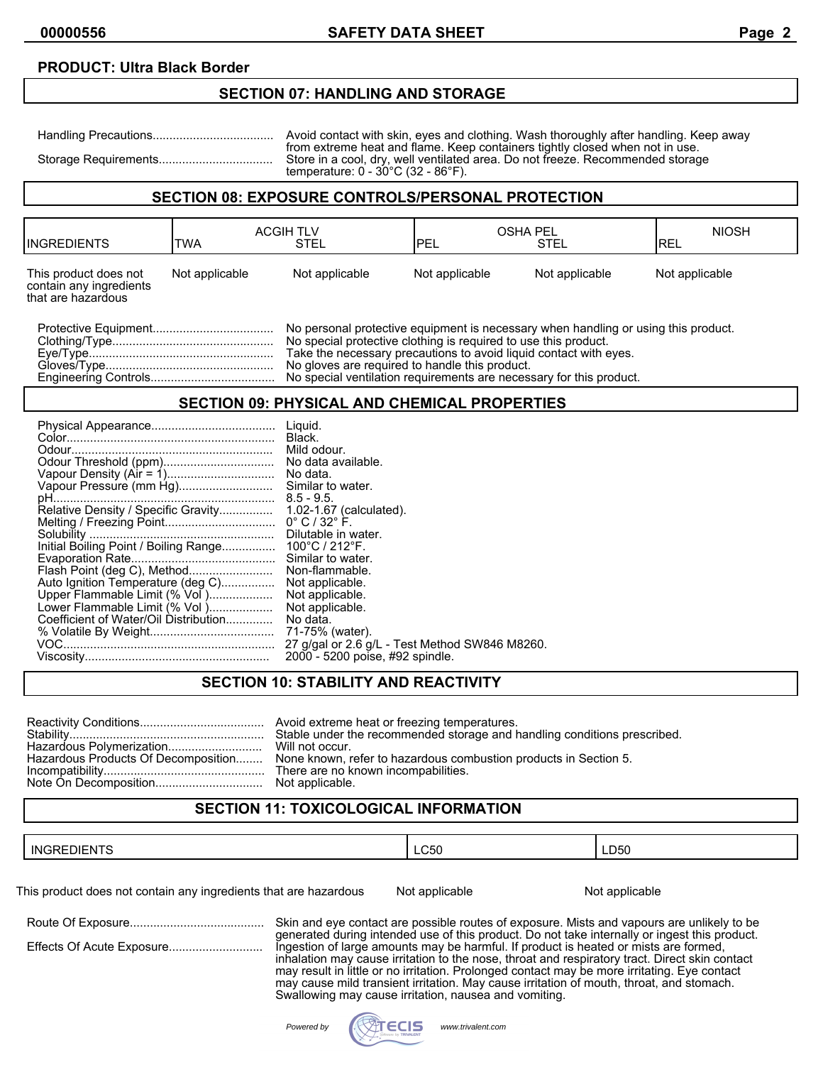## **PRODUCT: Ultra Black Border**

#### **SECTION 07: HANDLING AND STORAGE**

Handling Precautions.................................... Avoid contact with skin, eyes and clothing. Wash thoroughly after handling. Keep away from extreme heat and flame. Keep containers tightly closed when not in use. Storage Requirements.................................. Store in a cool, dry, well ventilated area. Do not freeze. Recommended storage temperature: 0 - 30°C (32 - 86°F).

#### **SECTION 08: EXPOSURE CONTROLS/PERSONAL PROTECTION**

| IINGREDIENTS                                                                                                                                                                                                                                                                                                                                        | <b>TWA</b>     | <b>ACGIH TLV</b><br>STEL | <b>OSHA PEL</b><br>IPEL | STEL           | <b>NIOSH</b><br><b>IREL</b> |
|-----------------------------------------------------------------------------------------------------------------------------------------------------------------------------------------------------------------------------------------------------------------------------------------------------------------------------------------------------|----------------|--------------------------|-------------------------|----------------|-----------------------------|
| This product does not<br>contain any ingredients<br>that are hazardous                                                                                                                                                                                                                                                                              | Not applicable | Not applicable           | Not applicable          | Not applicable | Not applicable              |
| No personal protective equipment is necessary when handling or using this product.<br>No special protective clothing is required to use this product.<br>Take the necessary precautions to avoid liquid contact with eves.<br>No gloves are required to handle this product.<br>No special ventilation requirements are necessary for this product. |                |                          |                         |                |                             |

### **SECTION 09: PHYSICAL AND CHEMICAL PROPERTIES**

|                                                                                                                                               | Liguid.<br>Black.<br>Similar to water.                                                                                                                                    |
|-----------------------------------------------------------------------------------------------------------------------------------------------|---------------------------------------------------------------------------------------------------------------------------------------------------------------------------|
|                                                                                                                                               | $8.5 - 9.5.$<br>Similar to water.<br>Non-flammable.                                                                                                                       |
| Auto Ignition Temperature (deg C)<br>Upper Flammable Limit (% Vol )<br>Lower Flammable Limit (% Vol)<br>Coefficient of Water/Oil Distribution | Not applicable.<br>Not applicable.<br>Not applicable.<br>No data.<br>71-75% (water).<br>27 g/gal or 2.6 g/L - Test Method SW846 M8260.<br>2000 - 5200 poise, #92 spindle. |

# **SECTION 10: STABILITY AND REACTIVITY**

| Stable under the recommended storage and handling conditions prescribed.                             |
|------------------------------------------------------------------------------------------------------|
| Hazardous Products Of Decomposition None known, refer to hazardous combustion products in Section 5. |
| There are no known incompabilities.                                                                  |

# **SECTION 11: TOXICOLOGICAL INFORMATION**

| -. .—~<br>זרי<br>' INGR.<br>זור<br>EDIENTS | $\sim$ $\sim$ $\sim$<br>∟∪്50 | LD50 |
|--------------------------------------------|-------------------------------|------|
|--------------------------------------------|-------------------------------|------|

This product does not contain any ingredients that are hazardous Not applicable Not applicable

| Effects Of Acute Exposure |  |
|---------------------------|--|
|                           |  |

Route Of Exposure........................................ Skin and eye contact are possible routes of exposure. Mists and vapours are unlikely to be generated during intended use of this product. Do not take internally or ingest this product. Effects Of Acute Exposure............................ Ingestion of large amounts may be harmful. If product is heated or mists are formed, inhalation may cause irritation to the nose, throat and respiratory tract. Direct skin contact may result in little or no irritation. Prolonged contact may be more irritating. Eye contact may cause mild transient irritation. May cause irritation of mouth, throat, and stomach. Swallowing may cause irritation, nausea and vomiting.

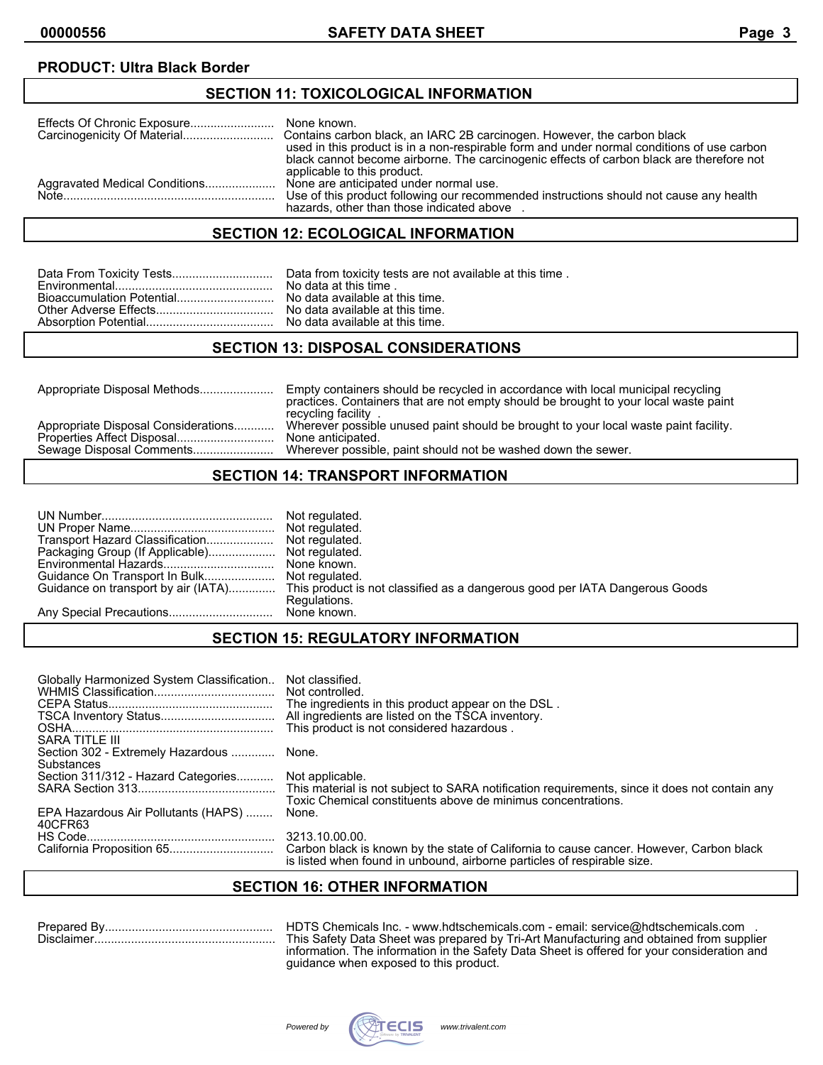# **PRODUCT: Ultra Black Border**

#### **SECTION 11: TOXICOLOGICAL INFORMATION**

|                               | used in this product is in a non-respirable form and under normal conditions of use carbon                                          |
|-------------------------------|-------------------------------------------------------------------------------------------------------------------------------------|
|                               | black cannot become airborne. The carcinogenic effects of carbon black are therefore not                                            |
|                               | applicable to this product.                                                                                                         |
| Aggravated Medical Conditions | None are anticipated under normal use.                                                                                              |
| Note                          | Use of this product following our recommended instructions should not cause any health<br>hazards, other than those indicated above |

# **SECTION 12: ECOLOGICAL INFORMATION**

# **SECTION 13: DISPOSAL CONSIDERATIONS**

| Appropriate Disposal Considerations<br>Properties Affect Disposal<br>None anticipated. | Appropriate Disposal Methods | Empty containers should be recycled in accordance with local municipal recycling<br>practices. Containers that are not empty should be brought to your local waste paint<br>recycling facility |  |
|----------------------------------------------------------------------------------------|------------------------------|------------------------------------------------------------------------------------------------------------------------------------------------------------------------------------------------|--|
|                                                                                        | Sewage Disposal Comments     | Wherever possible unused paint should be brought to your local waste paint facility.<br>Wherever possible, paint should not be washed down the sewer.                                          |  |

# **SECTION 14: TRANSPORT INFORMATION**

| Not regulated.                                                                                                  |
|-----------------------------------------------------------------------------------------------------------------|
|                                                                                                                 |
|                                                                                                                 |
|                                                                                                                 |
|                                                                                                                 |
|                                                                                                                 |
| Guidance on transport by air (IATA) This product is not classified as a dangerous good per IATA Dangerous Goods |
| Regulations.                                                                                                    |
|                                                                                                                 |

# **SECTION 15: REGULATORY INFORMATION**

| Globally Harmonized System Classification<br>SARA TITLE III       | Not classified.<br>Not controlled.<br>The ingredients in this product appear on the DSL.<br>All ingredients are listed on the TSCA inventory.<br>This product is not considered hazardous. |
|-------------------------------------------------------------------|--------------------------------------------------------------------------------------------------------------------------------------------------------------------------------------------|
| Section 302 - Extremely Hazardous  None.                          |                                                                                                                                                                                            |
| Substances<br>Section 311/312 - Hazard Categories Not applicable. | Toxic Chemical constituents above de minimus concentrations.                                                                                                                               |
| EPA Hazardous Air Pollutants (HAPS)<br>40CFR63                    | None.                                                                                                                                                                                      |
|                                                                   | 3213.10.00.00.<br>is listed when found in unbound, airborne particles of respirable size.                                                                                                  |

# **SECTION 16: OTHER INFORMATION**

Prepared By.................................................. HDTS Chemicals Inc. - www.hdtschemicals.com - email: service@hdtschemicals.com . Disclaimer...................................................... This Safety Data Sheet was prepared by Tri-Art Manufacturing and obtained from supplier information. The information in the Safety Data Sheet is offered for your consideration and guidance when exposed to this product.